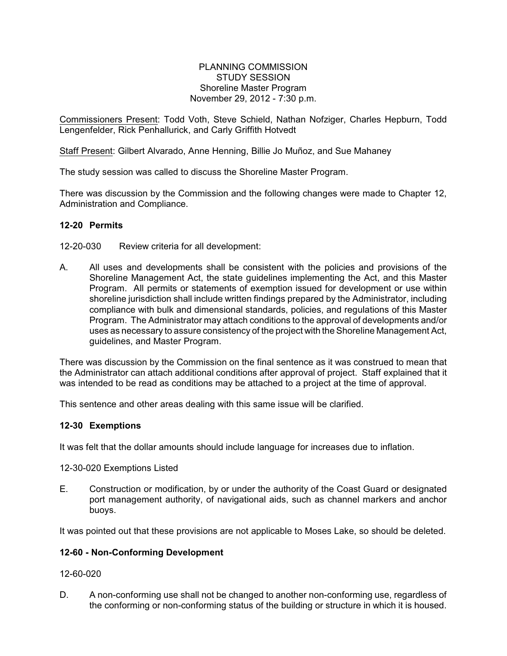#### PLANNING COMMISSION STUDY SESSION Shoreline Master Program November 29, 2012 - 7:30 p.m.

Commissioners Present: Todd Voth, Steve Schield, Nathan Nofziger, Charles Hepburn, Todd Lengenfelder, Rick Penhallurick, and Carly Griffith Hotvedt

Staff Present: Gilbert Alvarado, Anne Henning, Billie Jo Muñoz, and Sue Mahaney

The study session was called to discuss the Shoreline Master Program.

There was discussion by the Commission and the following changes were made to Chapter 12, Administration and Compliance.

# **12-20 Permits**

- 12-20-030 Review criteria for all development:
- A. All uses and developments shall be consistent with the policies and provisions of the Shoreline Management Act, the state guidelines implementing the Act, and this Master Program. All permits or statements of exemption issued for development or use within shoreline jurisdiction shall include written findings prepared by the Administrator, including compliance with bulk and dimensional standards, policies, and regulations of this Master Program. The Administrator may attach conditions to the approval of developments and/or uses as necessary to assure consistency of the project with the Shoreline Management Act, guidelines, and Master Program.

There was discussion by the Commission on the final sentence as it was construed to mean that the Administrator can attach additional conditions after approval of project. Staff explained that it was intended to be read as conditions may be attached to a project at the time of approval.

This sentence and other areas dealing with this same issue will be clarified.

## **12-30 Exemptions**

It was felt that the dollar amounts should include language for increases due to inflation.

12-30-020 Exemptions Listed

E. Construction or modification, by or under the authority of the Coast Guard or designated port management authority, of navigational aids, such as channel markers and anchor buoys.

It was pointed out that these provisions are not applicable to Moses Lake, so should be deleted.

## **12-60 - Non-Conforming Development**

## 12-60-020

D. A non-conforming use shall not be changed to another non-conforming use, regardless of the conforming or non-conforming status of the building or structure in which it is housed.